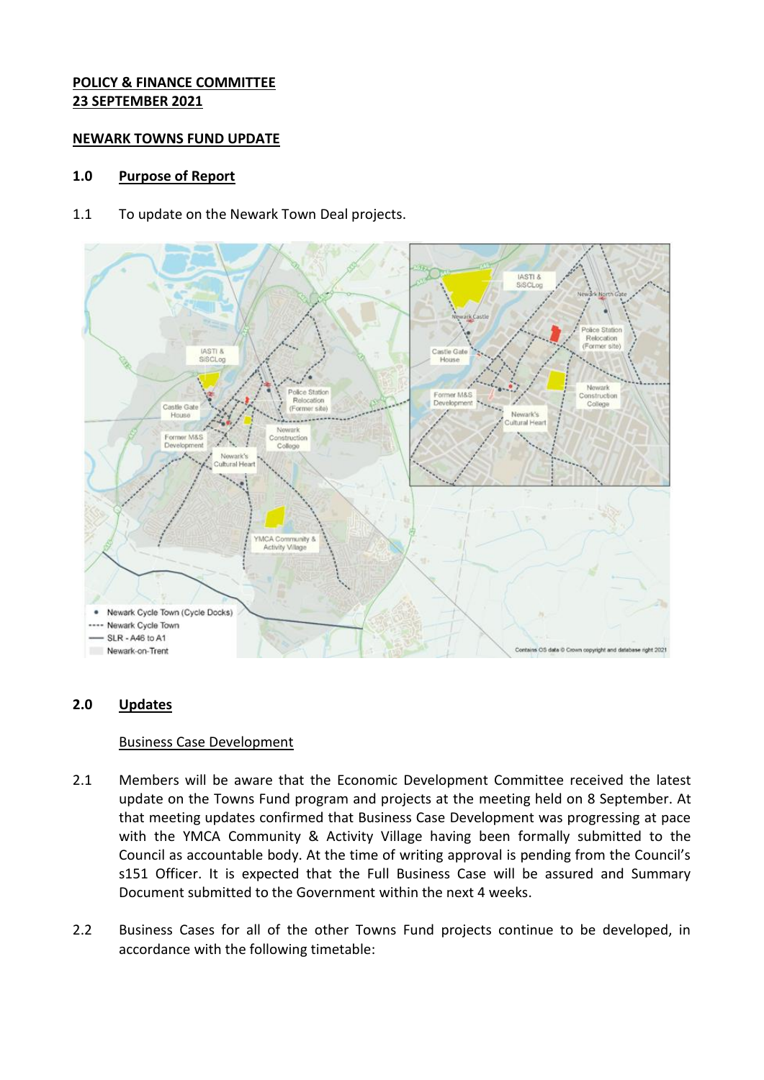## **POLICY & FINANCE COMMITTEE 23 SEPTEMBER 2021**

### **NEWARK TOWNS FUND UPDATE**

## **1.0 Purpose of Report**

1.1 To update on the Newark Town Deal projects.



# **2.0 Updates**

### Business Case Development

- 2.1 Members will be aware that the Economic Development Committee received the latest update on the Towns Fund program and projects at the meeting held on 8 September. At that meeting updates confirmed that Business Case Development was progressing at pace with the YMCA Community & Activity Village having been formally submitted to the Council as accountable body. At the time of writing approval is pending from the Council's s151 Officer. It is expected that the Full Business Case will be assured and Summary Document submitted to the Government within the next 4 weeks.
- 2.2 Business Cases for all of the other Towns Fund projects continue to be developed, in accordance with the following timetable: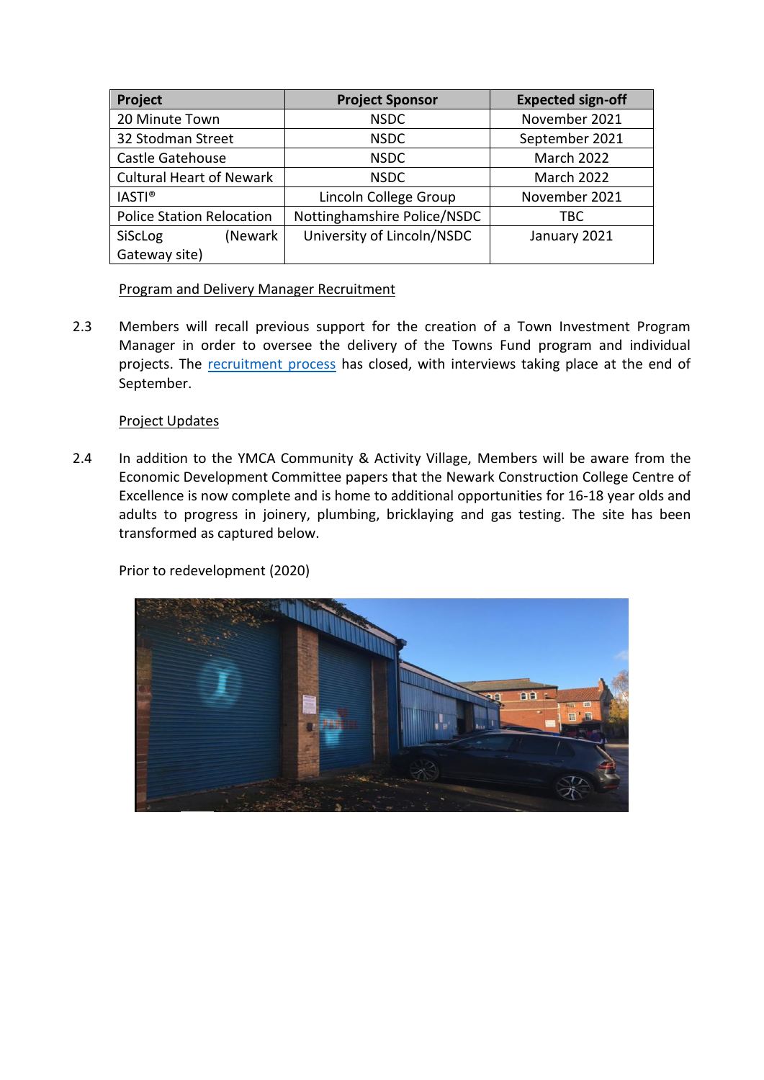| Project                          | <b>Project Sponsor</b>      | <b>Expected sign-off</b> |
|----------------------------------|-----------------------------|--------------------------|
| 20 Minute Town                   | <b>NSDC</b>                 | November 2021            |
| 32 Stodman Street                | <b>NSDC</b>                 | September 2021           |
| Castle Gatehouse                 | <b>NSDC</b>                 | <b>March 2022</b>        |
| <b>Cultural Heart of Newark</b>  | <b>NSDC</b>                 | March 2022               |
| <b>IASTI®</b>                    | Lincoln College Group       | November 2021            |
| <b>Police Station Relocation</b> | Nottinghamshire Police/NSDC | TBC                      |
| (Newark<br><b>SiScLog</b>        | University of Lincoln/NSDC  | January 2021             |
| Gateway site)                    |                             |                          |

# Program and Delivery Manager Recruitment

2.3 Members will recall previous support for the creation of a Town Investment Program Manager in order to oversee the delivery of the Towns Fund program and individual projects. The [recruitment process](https://www.youtube.com/watch?v=dp_eZE7KnOE) has closed, with interviews taking place at the end of September.

# Project Updates

2.4 In addition to the YMCA Community & Activity Village, Members will be aware from the Economic Development Committee papers that the Newark Construction College Centre of Excellence is now complete and is home to additional opportunities for 16-18 year olds and adults to progress in joinery, plumbing, bricklaying and gas testing. The site has been transformed as captured below.

Prior to redevelopment (2020)

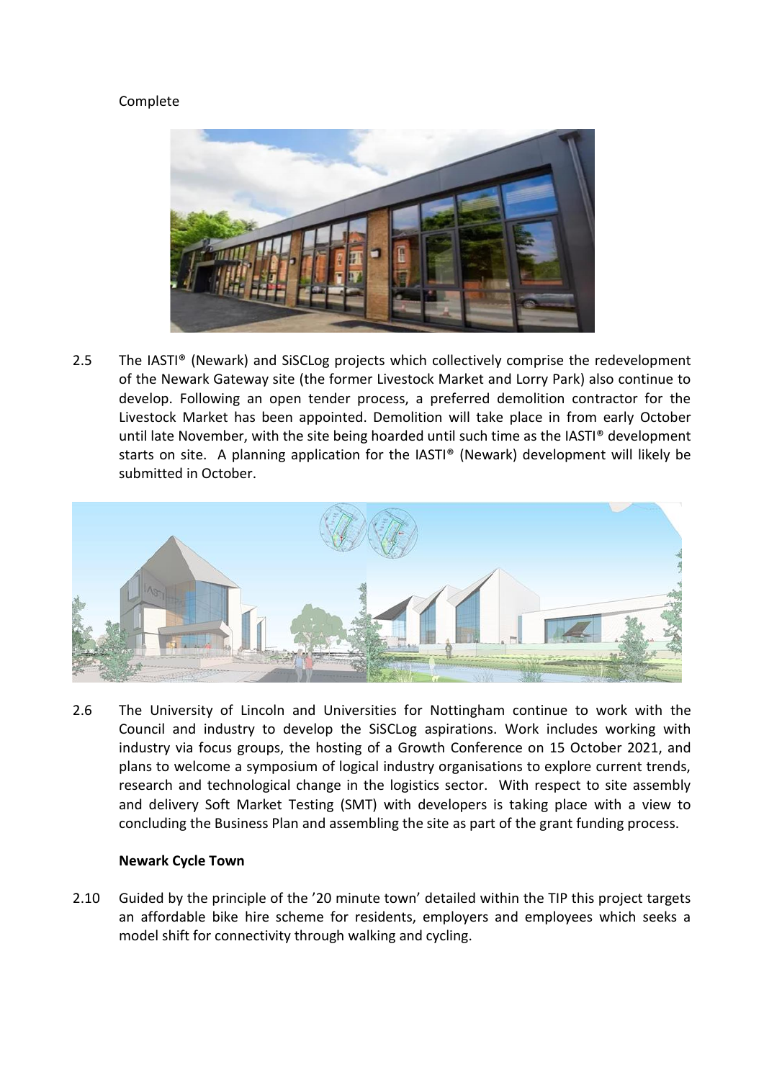# Complete



2.5 The IASTI® (Newark) and SiSCLog projects which collectively comprise the redevelopment of the Newark Gateway site (the former Livestock Market and Lorry Park) also continue to develop. Following an open tender process, a preferred demolition contractor for the Livestock Market has been appointed. Demolition will take place in from early October until late November, with the site being hoarded until such time as the IASTI® development starts on site. A planning application for the IASTI® (Newark) development will likely be submitted in October.



2.6 The University of Lincoln and Universities for Nottingham continue to work with the Council and industry to develop the SiSCLog aspirations. Work includes working with industry via focus groups, the hosting of a Growth Conference on 15 October 2021, and plans to welcome a symposium of logical industry organisations to explore current trends, research and technological change in the logistics sector. With respect to site assembly and delivery Soft Market Testing (SMT) with developers is taking place with a view to concluding the Business Plan and assembling the site as part of the grant funding process.

#### **Newark Cycle Town**

2.10 Guided by the principle of the '20 minute town' detailed within the TIP this project targets an affordable bike hire scheme for residents, employers and employees which seeks a model shift for connectivity through walking and cycling.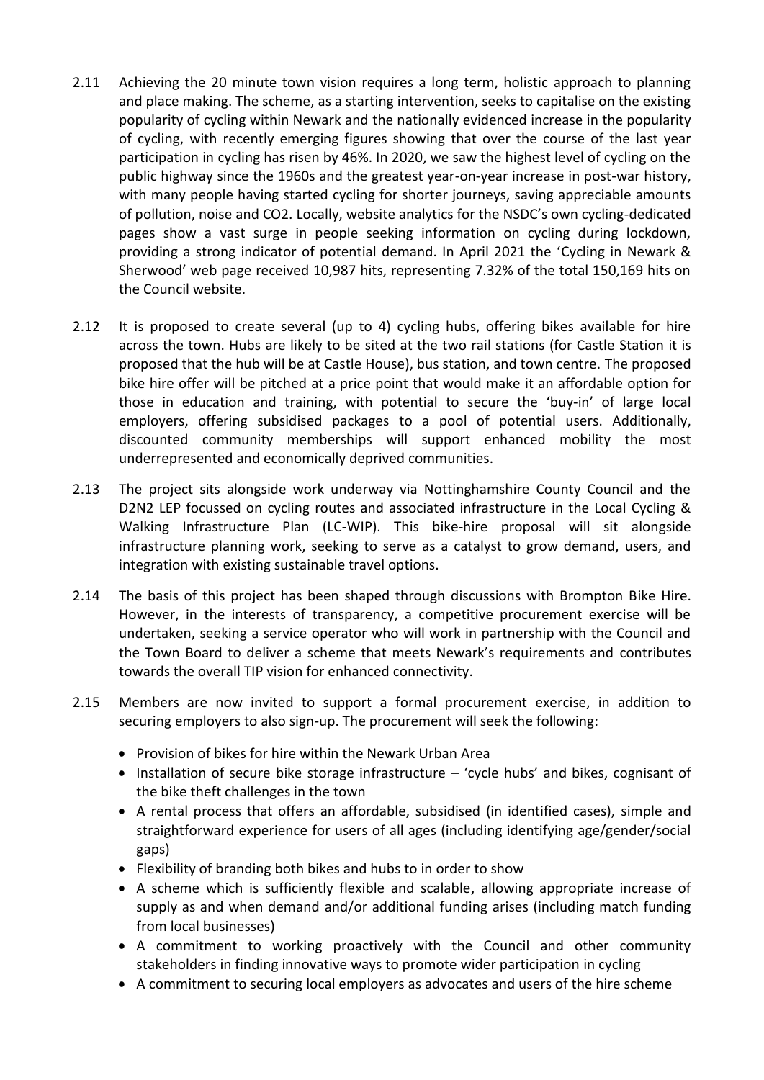- 2.11 Achieving the 20 minute town vision requires a long term, holistic approach to planning and place making. The scheme, as a starting intervention, seeks to capitalise on the existing popularity of cycling within Newark and the nationally evidenced increase in the popularity of cycling, with recently emerging figures showing that over the course of the last year participation in cycling has risen by 46%. In 2020, we saw the highest level of cycling on the public highway since the 1960s and the greatest year-on-year increase in post-war history, with many people having started cycling for shorter journeys, saving appreciable amounts of pollution, noise and CO2. Locally, website analytics for the NSDC's own cycling-dedicated pages show a vast surge in people seeking information on cycling during lockdown, providing a strong indicator of potential demand. In April 2021 the 'Cycling in Newark & Sherwood' web page received 10,987 hits, representing 7.32% of the total 150,169 hits on the Council website.
- 2.12 It is proposed to create several (up to 4) cycling hubs, offering bikes available for hire across the town. Hubs are likely to be sited at the two rail stations (for Castle Station it is proposed that the hub will be at Castle House), bus station, and town centre. The proposed bike hire offer will be pitched at a price point that would make it an affordable option for those in education and training, with potential to secure the 'buy-in' of large local employers, offering subsidised packages to a pool of potential users. Additionally, discounted community memberships will support enhanced mobility the most underrepresented and economically deprived communities.
- 2.13 The project sits alongside work underway via Nottinghamshire County Council and the D2N2 LEP focussed on cycling routes and associated infrastructure in the Local Cycling & Walking Infrastructure Plan (LC-WIP). This bike-hire proposal will sit alongside infrastructure planning work, seeking to serve as a catalyst to grow demand, users, and integration with existing sustainable travel options.
- 2.14 The basis of this project has been shaped through discussions with Brompton Bike Hire. However, in the interests of transparency, a competitive procurement exercise will be undertaken, seeking a service operator who will work in partnership with the Council and the Town Board to deliver a scheme that meets Newark's requirements and contributes towards the overall TIP vision for enhanced connectivity.
- 2.15 Members are now invited to support a formal procurement exercise, in addition to securing employers to also sign-up. The procurement will seek the following:
	- Provision of bikes for hire within the Newark Urban Area
	- Installation of secure bike storage infrastructure 'cycle hubs' and bikes, cognisant of the bike theft challenges in the town
	- A rental process that offers an affordable, subsidised (in identified cases), simple and straightforward experience for users of all ages (including identifying age/gender/social gaps)
	- Flexibility of branding both bikes and hubs to in order to show
	- A scheme which is sufficiently flexible and scalable, allowing appropriate increase of supply as and when demand and/or additional funding arises (including match funding from local businesses)
	- A commitment to working proactively with the Council and other community stakeholders in finding innovative ways to promote wider participation in cycling
	- A commitment to securing local employers as advocates and users of the hire scheme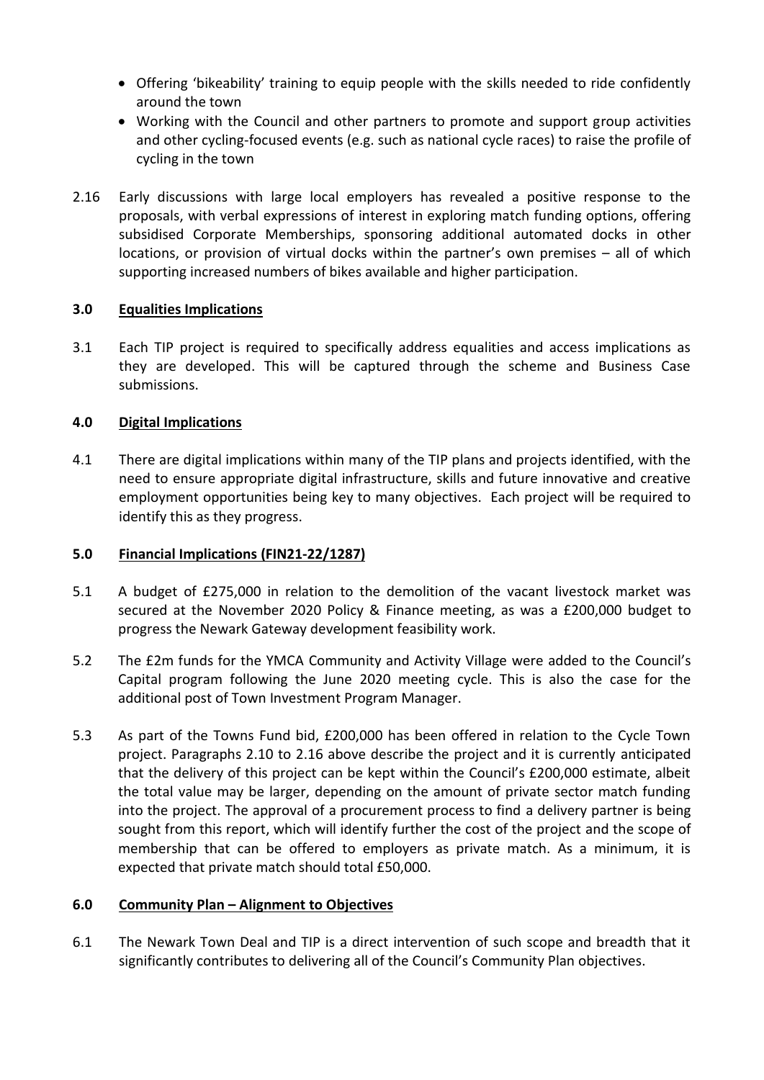- Offering 'bikeability' training to equip people with the skills needed to ride confidently around the town
- Working with the Council and other partners to promote and support group activities and other cycling-focused events (e.g. such as national cycle races) to raise the profile of cycling in the town
- 2.16 Early discussions with large local employers has revealed a positive response to the proposals, with verbal expressions of interest in exploring match funding options, offering subsidised Corporate Memberships, sponsoring additional automated docks in other locations, or provision of virtual docks within the partner's own premises – all of which supporting increased numbers of bikes available and higher participation.

# **3.0 Equalities Implications**

3.1 Each TIP project is required to specifically address equalities and access implications as they are developed. This will be captured through the scheme and Business Case submissions.

# **4.0 Digital Implications**

4.1 There are digital implications within many of the TIP plans and projects identified, with the need to ensure appropriate digital infrastructure, skills and future innovative and creative employment opportunities being key to many objectives. Each project will be required to identify this as they progress.

### **5.0 Financial Implications (FIN21-22/1287)**

- 5.1 A budget of £275,000 in relation to the demolition of the vacant livestock market was secured at the November 2020 Policy & Finance meeting, as was a £200,000 budget to progress the Newark Gateway development feasibility work.
- 5.2 The £2m funds for the YMCA Community and Activity Village were added to the Council's Capital program following the June 2020 meeting cycle. This is also the case for the additional post of Town Investment Program Manager.
- 5.3 As part of the Towns Fund bid, £200,000 has been offered in relation to the Cycle Town project. Paragraphs 2.10 to 2.16 above describe the project and it is currently anticipated that the delivery of this project can be kept within the Council's £200,000 estimate, albeit the total value may be larger, depending on the amount of private sector match funding into the project. The approval of a procurement process to find a delivery partner is being sought from this report, which will identify further the cost of the project and the scope of membership that can be offered to employers as private match. As a minimum, it is expected that private match should total £50,000.

### **6.0 Community Plan – Alignment to Objectives**

6.1 The Newark Town Deal and TIP is a direct intervention of such scope and breadth that it significantly contributes to delivering all of the Council's Community Plan objectives.